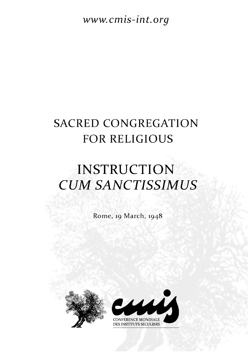www.cmis-int.org

## **SACRED CONGREGATION** FOR RELIGIOUS

## **INSTRUCTION CUM SANCTISSIMUS**

Rome, 19 March, 1948



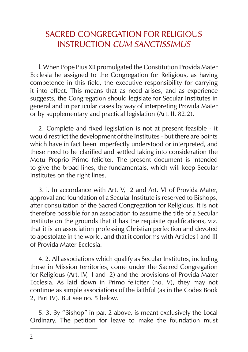## SACRED CONGREGATION FOR RELIGIOUS INSTRUCTION CUM SANCTISSIMUS

l. When Pope Pius XII promulgated the Constitution Provida Mater Ecclesia he assigned to the Congregation for Religious, as having competence in this field, the executive responsibility for carrying it into effect. This means that as need arises, and as experience suggests, the Congregation should legislate for Secular Institutes in general and in particular cases by way of interpreting Provida Mater or by supplementary and practical legislation (Art. II, 82.2).

2. Complete and fixed legislation is not at present feasible - it would restrict the development of the Institutes - but there are points which have in fact been imperfectly understood or interpreted, and these need to be clarified and settled taking into consideration the Motu Proprio Primo feliciter. The present document is intended to give the broad lines, the fundamentals, which will keep Secular Institutes on the right lines.

3. l. In accordance with Art. V, 2 and Art. VI of Provida Mater, approval and foundation of a Secular Institute is reserved to Bishops, after consultation of the Sacred Congregation for Religious. It is not therefore possible for an association to assume the title of a Secular Institute on the grounds that it has the requisite qualifications, viz. that it is an association professing Christian perfection and devoted to apostolate in the world, and that it conforms with Articles I and III of Provida Mater Ecclesia.

4. 2. All associations which qualify as Secular Institutes, including those in Mission territories, come under the Sacred Congregation for Religious (Art. IV, l and 2) and the provisions of Provida Mater Ecclesia. As laid down in Primo feliciter (no. V), they may not continue as simple associations of the faithful (as in the Codex Book 2, Part IV). But see no. 5 below.

5. 3. By "Bishop" in par. 2 above, is meant exclusively the Local Ordinary. The petition for leave to make the foundation must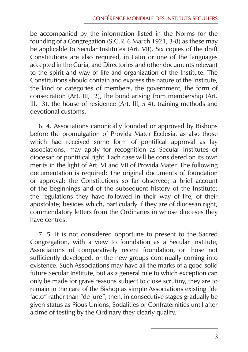be accompanied by the information listed in the Norms for the founding of a Congregation (S.C.R. 6 March 1921, 3-8) as these may be applicable to Secular Institutes (Art. VII). Six copies of the draft Constitutions are also required, in Latin or one of the languages accepted in the Curia, and Directories and other documents relevant to the spirit and way of life and organization of the Institute. The Constitutions should contain and express the nature of the Institute, the kind or categories of members, the government, the form of consecration (Art. III, 2), the bond arising from membership (Art. III, 3), the house of residence (Art. III,  $5\overline{4}$ ), training methods and devotional customs.

6. 4. Associations canonically founded or approved by Bishops before the promulgation of Provida Mater Ecclesia, as also those which had received some form of pontifical approval as lay associations, may apply for recognition as Secular Institutes of diocesan or pontifical right. Each case will be considered on its own merits in the light of Art. VI and VII of Provida Mater. The following documentation is required: The original documents of foundation or approval; the Constitutions so far observed; a brief account of the beginnings and of the subsequent history of the Institute; the regulations they have followed in their way of life, of their apostolate; besides which, particularly if they are of diocesan right, commendatory letters from the Ordinaries in whose dioceses they have centres.

7. 5. It is not considered opportune to present to the Sacred Congregation, with a view to foundation as a Secular Institute, Associations of comparatively recent foundation, or those not sufficiently developed, or the new groups continually coming into existence. Such Associations may have all the marks of a good solid future Secular Institute, but as a general rule to which exception can only be made for grave reasons subject to close scrutiny, they are to remain in the care of the Bishop as simple Associations existing "de facto" rather than "de jure", then, in consecutive stages gradually be given status as Pious Unions, Sodalities or Confraternities until after a time of testing by the Ordinary they clearly qualify.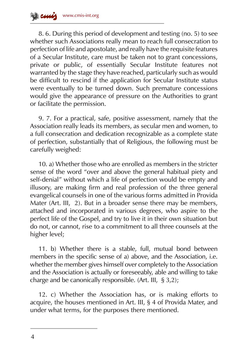8. 6. During this period of development and testing (no. 5) to see whether such Associations really mean to reach full consecration to perfection of life and apostolate, and really have the requisite features of a Secular Institute, care must be taken not to grant concessions, private or public, of essentially Secular Institute features not warranted by the stage they have reached, particularly such as would be difficult to rescind if the application for Secular Institute status were eventually to be turned down. Such premature concessions would give the appearance of pressure on the Authorities to grant or facilitate the permission.

9. 7. For a practical, safe, positive assessment, namely that the Association really leads its members, as secular men and women, to a full consecration and dedication recognizable as a complete state of perfection, substantially that of Religious, the following must be carefully weighed:

10. a) Whether those who are enrolled as members in the stricter sense of the word "over and above the general habitual piety and self-denial" without which a life of perfection would be empty and illusory, are making firm and real profession of the three general evangelical counsels in one of the various forms admitted in Provida Mater (Art. III, 2). But in a broader sense there may be members, attached and incorporated in various degrees, who aspire to the perfect life of the Gospel, and try to live it in their own situation but do not, or cannot, rise to a commitment to all three counsels at the higher level;

11. b) Whether there is a stable, full, mutual bond between members in the specific sense of a) above, and the Association, i.e. whether the member gives himself over completely to the Association and the Association is actually or foreseeably, able and willing to take charge and be canonically responsible. (Art. III, § 3,2);

12. c) Whether the Association has, or is making efforts to acquire, the houses mentioned in Art. III, § 4 of Provida Mater, and under what terms, for the purposes there mentioned.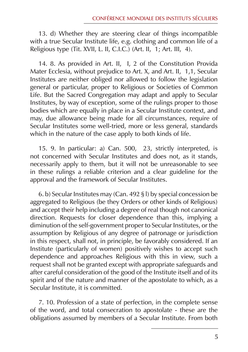13. d) Whether they are steering clear of things incompatible with a true Secular Institute life, e.g. clothing and common life of a Religious type (Tit. XVII, L. II, C.I.C.) (Art. II, 1; Art. III, 4).

14. 8. As provided in Art. II, I, 2 of the Constitution Provida Mater Ecclesia, without prejudice to Art. X, and Art. II, 1,1, Secular Institutes are neither obliged nor allowed to follow the legislation general or particular, proper to Religious or Societies of Common Life. But the Sacred Congregation may adapt and apply to Secular Institutes, by way of exception, some of the rulings proper to those bodies which are equally in place in a Secular Institute context, and may, due allowance being made for all circumstances, require of Secular Institutes some well-tried, more or less general, standards which in the nature of the case apply to both kinds of life.

15. 9. In particular: a) Can. 500, 23, strictly interpreted, is not concerned with Secular Institutes and does not, as it stands, necessarily apply to them, but it will not be unreasonable to see in these rulings a reliable criterion and a clear guideline for the approval and the framework of Secular Institutes.

6. b) Secular Institutes may (Can. 492 § l) by special concession be aggregated to Religious (be they Orders or other kinds of Religious) and accept their help including a degree of real though not canonical direction. Requests for closer dependence than this, implying a diminution of the self-government proper to Secular Institutes, or the assumption by Religious of any degree of patronage or jurisdiction in this respect, shall not, in principle, be favorably considered. If an Institute (particularly of women) positively wishes to accept such dependence and approaches Religious with this in view, such a request shall not be granted except with appropriate safeguards and after careful consideration of the good of the Institute itself and of its spirit and of the nature and manner of the apostolate to which, as a Secular Institute, it is committed.

7. 10. Profession of a state of perfection, in the complete sense of the word, and total consecration to apostolate - these are the obligations assumed by members of a Secular Institute. From both